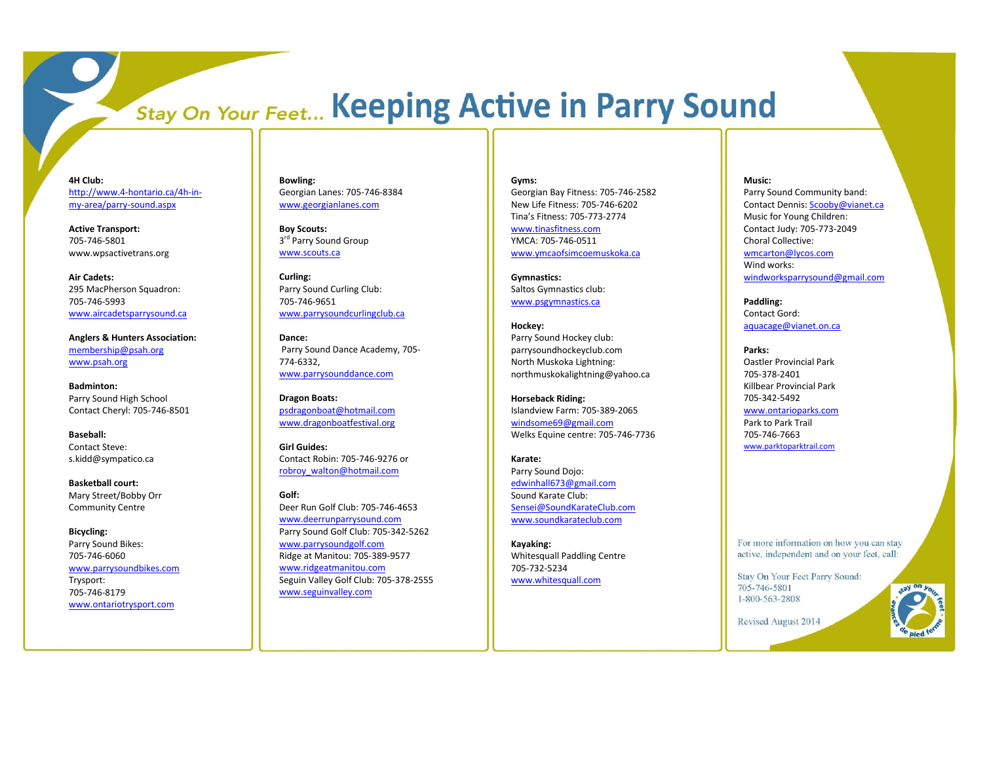# **Stay On Your Feet... Keeping Active in Parry Sound**

**4H Club:** http://www.4[-hontario.ca/4h](http://www.4-hontario.ca/4h-in-my-area/parry-sound.aspx)-inmy -area/parry [-sound.aspx](http://www.4-hontario.ca/4h-in-my-area/parry-sound.aspx)

**Active Transport:**  705 -746 -5801 www.wpsactivetrans.org

**Air Cadets:**  295 MacPherson Squadron: 705 -746 -5993 [www.aircadetsparrysound.ca](http://www.aircadetsparrysound.ca/)

**Anglers & Hunters Association:**  [membership@psah.org](mailto:membership@psah.org) [www.psah.org](http://www.psah.org/)

**Badminton:**  Parry Sound High School Contact Cheryl: 705 -746 -8501

**Baseball:**  Contact Steve: s.kidd@sympatico.ca

**Basketball court:**  Mary Street/Bobby Orr Community Centre

**Bicycling:**  Parry Sound Bikes: 705 -746 -6060 [www.parrysoundbikes.com](http://www.parrysoundbikes.com/)  Trysport: 705 -746 -8179 [www.ontariotrysport.com](http://www.ontariotrysport.com/)

**Bowling:**  Georgian Lanes: 705 -746 -8384 [www.georgianlanes.com](http://www.georgianlanes.com/)

**Boy Scouts:** 3<sup>rd</sup> Parry Sound Group [www.scouts.ca](http://www.scouts.ca/)

**Curling:**  Parry Sound Curling Club : 705 -746 -9651 [www.parrysoundcurlingclub.ca](http://www.parrysoundcurlingclub.ca/)

**Dance:** Parry Sound Dance Academy, 705 - 774 -6332, [www.parrysounddance.com](http://www.parrysounddance.com/)

**Dragon Boat s:**  [psdragonboat@hotmail.com](mailto:psdragonboat@hotmail.com) [www.dragonboatfestival.org](http://www.dragonboatfestival.org/)

**Girl Guides:**  Contact Robin: 705 -746 -9276 or [robroy\\_walton@hotmail.com](mailto:robroy_walton@hotmail.com)

**Golf:**  Deer Run Golf Club: 705 -746 -4653 [www.deerrunparrysound.com](http://www.deerrunparrysound.com/)  Parry Sound Golf Club: 705 -342 -5262 [www.parrysoundgolf.com](http://www.parrysoundgolf.com/)  Ridge at Manitou: 705 -389 -9577 [www.ridgeatmanitou.com](http://www.ridgeatmanitou.com/)  Seguin Valley Golf Club: 705 -378 -2555 [www.seguinvalley.com](http://www.seguinvalley.com/)

### **Gyms:**

Georgian Bay Fitness : 705 -746 -2582 New Life Fitness: 705 -746 -6202 Tina's Fitness: 705 -773 -2774

[www.tinasfitness.com](http://www.tinasfitness.com/)  YMCA: 705 -746 -0511 [www.ymcaofsimcoemuskoka.ca](http://www.ymcaofsimcoemuskoka.ca/)

**Gymnastics:**  Saltos Gymnastics club: [www.psgymnastics.ca](http://www.psgymnastics.ca/)

**Hockey:**  Parry Sound Hockey club: parrysoundhockeyclub.com North Muskoka Lightning: northmuskokalightning@yahoo.ca

**Horseback Riding:** Islandview Farm: 705 -389 -2065 [windsome69@gmail.com](mailto:windsome69@gmail.com)  Welks Equine centre: 705 -746 -7736

**Karate:**  Parry Sound Dojo: [edwinhall673@gmail.com](mailto:edwinhall673@gmail.com)  Sound Karate Club: [Sensei@SoundKarateClub.com](mailto:Sensei@SoundKarateClub.com) [www.soundkarateclub.com](http://www.soundkarateclub.com/)

**Kayaking:**  Whitesquall Paddling Centre 705 -732 -5234 [www.whitesquall.com](http://www.whitesquall.com/)

# **Music:**

Parry Sound Community band: Contact Dennis[: Scooby@vianet.ca](mailto:Scooby@vianet.ca)  Music for Young Children: Contact Judy: 705 -773 -2049 Choral Collective: [wmcarton@lycos.com](mailto:wmcarton@lycos.com)  Wind works: [windworksparrysound@gmail.com](mailto:windworksparrysound@gmail.com)

**Paddling:**  Contact Gord: [aquacage@vianet.on.ca](mailto:aquacage@vianet.on.ca)

**Parks:** Oastler Provincial Park 705 -378 -2401 Killbear Provincial Park 705 -342 -5492 [www.ontarioparks.com](http://www.ontarioparks.com/)  Park to Park Trail

705 -746 -7663 [www.parktoparktrail.com](http://www.parktoparktrail.com/) 

For more information on how you can stay active, independent and on your feet, call:

Stay On Your Feet Parry Sound: 705-746-5801 1-800-563-2808

Revised August 2014